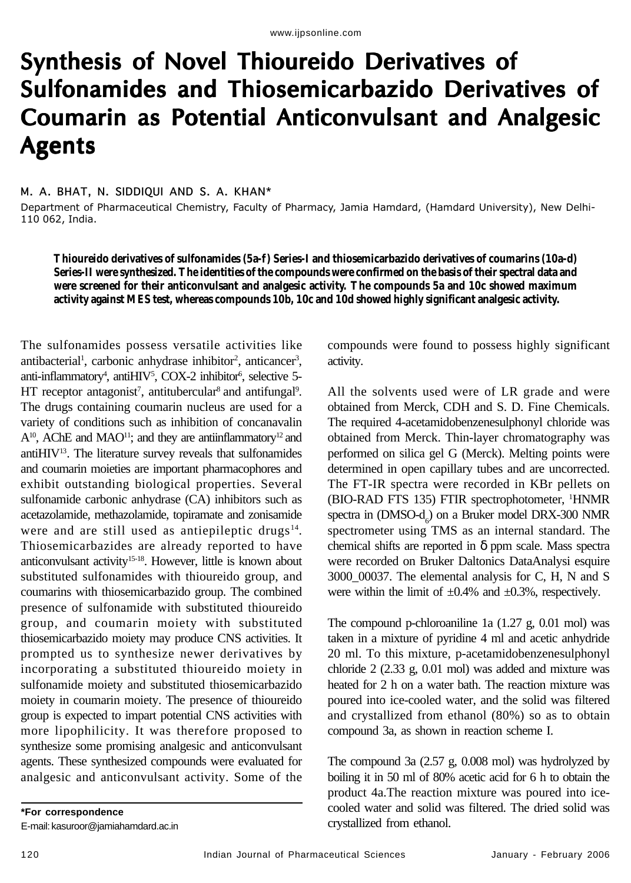# Synthesis of Novel Thioureido Derivatives of Sulfonamides and Thiosemicarbazido Derivatives of Coumarin as Potential Anticonvulsant and Analgesic Agents

## M. A. BHAT, N. SIDDIQUI AND S. A. KHAN\*

Department of Pharmaceutical Chemistry, Faculty of Pharmacy, Jamia Hamdard, (Hamdard University), New Delhi-110 062, India.

**Thioureido derivatives of sulfonamides (5a-f) Series-I and thiosemicarbazido derivatives of coumarins (10a-d) Series-II were synthesized. The identities of the compounds were confirmed on the basis of their spectral data and were screened for their anticonvulsant and analgesic activity. The compounds 5a and 10c showed maximum activity against MES test, whereas compounds 10b, 10c and 10d showed highly significant analgesic activity.**

The sulfonamides possess versatile activities like antibacterial<sup>1</sup>, carbonic anhydrase inhibitor<sup>2</sup>, anticancer<sup>3</sup>, anti-inflammatory<sup>4</sup>, antiHIV<sup>5</sup>, COX-2 inhibitor<sup>6</sup>, selective 5-HT receptor antagonist<sup>7</sup>, antitubercular<sup>8</sup> and antifungal<sup>9</sup>. The drugs containing coumarin nucleus are used for a variety of conditions such as inhibition of concanavalin  $A^{10}$ , AChE and MAO<sup>11</sup>; and they are antiinflammatory<sup>12</sup> and antiHIV13. The literature survey reveals that sulfonamides and coumarin moieties are important pharmacophores and exhibit outstanding biological properties. Several sulfonamide carbonic anhydrase (CA) inhibitors such as acetazolamide, methazolamide, topiramate and zonisamide were and are still used as antiepileptic drugs<sup>14</sup>. Thiosemicarbazides are already reported to have anticonvulsant activity<sup>15-18</sup>. However, little is known about substituted sulfonamides with thioureido group, and coumarins with thiosemicarbazido group. The combined presence of sulfonamide with substituted thioureido group, and coumarin moiety with substituted thiosemicarbazido moiety may produce CNS activities. It prompted us to synthesize newer derivatives by incorporating a substituted thioureido moiety in sulfonamide moiety and substituted thiosemicarbazido moiety in coumarin moiety. The presence of thioureido group is expected to impart potential CNS activities with more lipophilicity. It was therefore proposed to synthesize some promising analgesic and anticonvulsant agents. These synthesized compounds were evaluated for analgesic and anticonvulsant activity. Some of the

**\*For correspondence** E-mail: kasuroor@jamiahamdard.ac.in compounds were found to possess highly significant activity.

All the solvents used were of LR grade and were obtained from Merck, CDH and S. D. Fine Chemicals. The required 4-acetamidobenzenesulphonyl chloride was obtained from Merck. Thin-layer chromatography was performed on silica gel G (Merck). Melting points were determined in open capillary tubes and are uncorrected. The FT-IR spectra were recorded in KBr pellets on (BIO-RAD FTS 135) FTIR spectrophotometer, <sup>1</sup>HNMR spectra in  $(DMSO-d_6)$  on a Bruker model DRX-300 NMR spectrometer using TMS as an internal standard. The chemical shifts are reported in  $\delta$  ppm scale. Mass spectra were recorded on Bruker Daltonics DataAnalysi esquire 3000\_00037. The elemental analysis for C, H, N and S were within the limit of  $\pm 0.4\%$  and  $\pm 0.3\%$ , respectively.

The compound p-chloroaniline 1a (1.27 g, 0.01 mol) was taken in a mixture of pyridine 4 ml and acetic anhydride 20 ml. To this mixture, p-acetamidobenzenesulphonyl chloride 2 (2.33 g, 0.01 mol) was added and mixture was heated for 2 h on a water bath. The reaction mixture was poured into ice-cooled water, and the solid was filtered and crystallized from ethanol (80%) so as to obtain compound 3a, as shown in reaction scheme I.

The compound 3a (2.57 g, 0.008 mol) was hydrolyzed by boiling it in 50 ml of 80% acetic acid for 6 h to obtain the product 4a.The reaction mixture was poured into icecooled water and solid was filtered. The dried solid was crystallized from ethanol.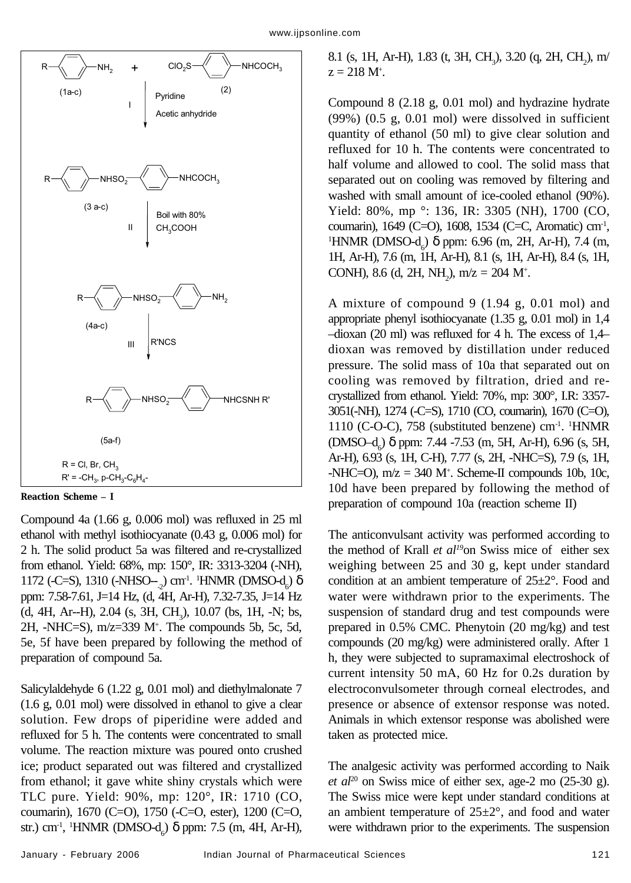

**Reaction Scheme – I**

Compound 4a (1.66 g, 0.006 mol) was refluxed in 25 ml ethanol with methyl isothiocyanate (0.43 g, 0.006 mol) for 2 h. The solid product 5a was filtered and re-crystallized from ethanol. Yield: 68%, mp: 150°, IR: 3313-3204 (-NH),  $1172$  (-C=S),  $1310$  (-NHSO--<sub>2</sub>) cm<sup>-1</sup>. <sup>1</sup>HNMR (DMSO-d<sub>6</sub>) δ ppm: 7.58-7.61, J=14 Hz, (d, 4H, Ar-H), 7.32-7.35, J=14 Hz (d, 4H, Ar--H), 2.04 (s, 3H, CH<sub>3</sub>), 10.07 (bs, 1H, -N; bs, 2H, -NHC=S), m/z=339 M+ . The compounds 5b, 5c, 5d, 5e, 5f have been prepared by following the method of preparation of compound 5a.

Salicylaldehyde 6 (1.22 g, 0.01 mol) and diethylmalonate 7 (1.6 g, 0.01 mol) were dissolved in ethanol to give a clear solution. Few drops of piperidine were added and refluxed for 5 h. The contents were concentrated to small volume. The reaction mixture was poured onto crushed ice; product separated out was filtered and crystallized from ethanol; it gave white shiny crystals which were TLC pure. Yield: 90%, mp: 120°, IR: 1710 (CO, coumarin), 1670 (C=O), 1750 (-C=O, ester), 1200 (C=O, str.) cm<sup>-1</sup>, <sup>1</sup>HNMR (DMSO-d<sub>6</sub>) δ ppm: 7.5 (m, 4H, Ar-H),

8.1 (s, 1H, Ar-H), 1.83 (t, 3H, CH<sub>3</sub>), 3.20 (q, 2H, CH<sub>2</sub>), m/  $z = 218$  M<sup>+</sup>.

Compound 8 (2.18 g, 0.01 mol) and hydrazine hydrate (99%) (0.5 g, 0.01 mol) were dissolved in sufficient quantity of ethanol (50 ml) to give clear solution and refluxed for 10 h. The contents were concentrated to half volume and allowed to cool. The solid mass that separated out on cooling was removed by filtering and washed with small amount of ice-cooled ethanol (90%). Yield: 80%, mp °: 136, IR: 3305 (NH), 1700 (CO, coumarin), 1649 (C=O), 1608, 1534 (C=C, Aromatic) cm<sup>-1</sup>, <sup>1</sup>HNMR (DMSO-d<sub>6</sub>) δ ppm: 6.96 (m, 2H, Ar-H), 7.4 (m, 1H, Ar-H), 7.6 (m, 1H, Ar-H), 8.1 (s, 1H, Ar-H), 8.4 (s, 1H, CONH), 8.6 (d, 2H, NH<sub>2</sub>), m/z = 204 M<sup>+</sup>.

A mixture of compound 9 (1.94 g, 0.01 mol) and appropriate phenyl isothiocyanate (1.35 g, 0.01 mol) in 1,4 –dioxan (20 ml) was refluxed for 4 h. The excess of 1,4– dioxan was removed by distillation under reduced pressure. The solid mass of 10a that separated out on cooling was removed by filtration, dried and recrystallized from ethanol. Yield: 70%, mp: 300°, I.R: 3357- 3051(-NH), 1274 (-C=S), 1710 (CO, coumarin), 1670 (C=O), 1110 (C-O-C), 758 (substituted benzene) cm<sup>-1</sup>. <sup>1</sup>HNMR (DMSO–d<sub>6</sub>) δ ppm: 7.44 -7.53 (m, 5H, Ar-H), 6.96 (s, 5H, Ar-H), 6.93 (s, 1H, C-H), 7.77 (s, 2H, -NHC=S), 7.9 (s, 1H,  $-NHC=O$ ),  $m/z = 340 M<sup>+</sup>$ . Scheme-II compounds 10b, 10c, 10d have been prepared by following the method of preparation of compound 10a (reaction scheme II)

The anticonvulsant activity was performed according to the method of Krall et al<sup>19</sup>on Swiss mice of either sex weighing between 25 and 30 g, kept under standard condition at an ambient temperature of 25±2°. Food and water were withdrawn prior to the experiments. The suspension of standard drug and test compounds were prepared in 0.5% CMC. Phenytoin (20 mg/kg) and test compounds (20 mg/kg) were administered orally. After 1 h, they were subjected to supramaximal electroshock of current intensity 50 mA, 60 Hz for 0.2s duration by electroconvulsometer through corneal electrodes, and presence or absence of extensor response was noted. Animals in which extensor response was abolished were taken as protected mice.

The analgesic activity was performed according to Naik *et al*<sup>20</sup> on Swiss mice of either sex, age-2 mo  $(25-30 g)$ . The Swiss mice were kept under standard conditions at an ambient temperature of  $25\pm2^{\circ}$ , and food and water were withdrawn prior to the experiments. The suspension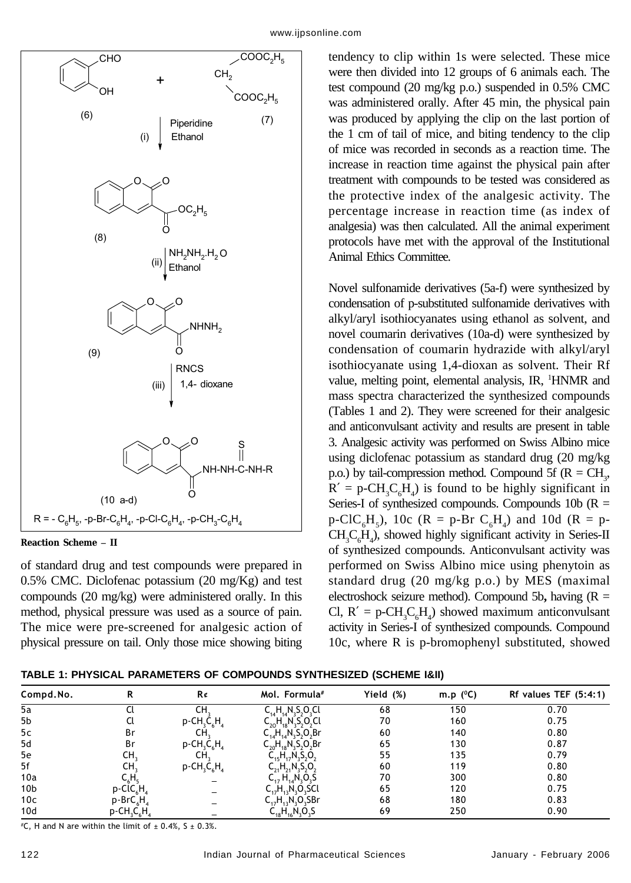

### **Reaction Scheme – II**

of standard drug and test compounds were prepared in  $0.5\%$  CMC. Diclofenac potassium  $(20 \text{ mg/Kg})$  and test compounds (20 mg/kg) were administered orally. In this method, physical pressure was used as a source of pain. The mice were pre-screened for analgesic action of physical pressure on tail. Only those mice showing biting tendency to clip within 1s were selected. These mice were then divided into 12 groups of 6 animals each. The test compound (20 mg/kg p.o.) suspended in 0.5% CMC was administered orally. After 45 min, the physical pain was produced by applying the clip on the last portion of the 1 cm of tail of mice, and biting tendency to the clip of mice was recorded in seconds as a reaction time. The increase in reaction time against the physical pain after treatment with compounds to be tested was considered as the protective index of the analgesic activity. The percentage increase in reaction time (as index of analgesia) was then calculated. All the animal experiment protocols have met with the approval of the Institutional Animal Ethics Committee.

Novel sulfonamide derivatives (5a-f) were synthesized by condensation of p-substituted sulfonamide derivatives with alkyl/aryl isothiocyanates using ethanol as solvent, and novel coumarin derivatives (10a-d) were synthesized by condensation of coumarin hydrazide with alkyl/aryl isothiocyanate using 1,4-dioxan as solvent. Their Rf value, melting point, elemental analysis, IR, <sup>1</sup>HNMR and mass spectra characterized the synthesized compounds (Tables 1 and 2). They were screened for their analgesic and anticonvulsant activity and results are present in table 3. Analgesic activity was performed on Swiss Albino mice using diclofenac potassium as standard drug (20 mg/kg p.o.) by tail-compression method. Compound 5f ( $R = CH_3$ ,  $R' = p\text{-CH}_3C_6H_4$ ) is found to be highly significant in Series-I of synthesized compounds. Compounds 10b ( $R =$  $p\text{-}CIC_{6}H_{5}$ ), 10c (R = p-Br  $C_{6}H_{4}$ ) and 10d (R = p- $CH_3C_6H_4$ ), showed highly significant activity in Series-II of synthesized compounds. Anticonvulsant activity was performed on Swiss Albino mice using phenytoin as standard drug (20 mg/kg p.o.) by MES (maximal electroshock seizure method). Compound 5b**,** having (R = Cl,  $R' = p\text{-CH}_3C_6H_4$ ) showed maximum anticonvulsant activity in Series-I of synthesized compounds. Compound 10c, where R is p-bromophenyl substituted, showed

| Compd.No.       |                                                    | R¢                                                 | Mol. Formula#                                                            | Yield (%) | m.p $(^0C)$ | Rf values TEF $(5:4:1)$ |
|-----------------|----------------------------------------------------|----------------------------------------------------|--------------------------------------------------------------------------|-----------|-------------|-------------------------|
| 5a              |                                                    | CН                                                 | $C_{14}H_{14}N_{3}S_{2}O_{3}Cl$                                          | 68        | 150         | 0.70                    |
| 5b              |                                                    | $p$ -CH <sub>2</sub> C <sub>4</sub> H <sub>4</sub> | $C_{20}H_{18}N_{3}S_{2}O_{2}Cl$                                          | 70        | 160         | 0.75                    |
| 5c              | Br                                                 | CH.                                                | $C_{14}H_{14}N_3S_2O_2Br$                                                | 60        | 140         | 0.80                    |
| 5d              | Br                                                 | $p$ -CH <sub>3</sub> C <sub>6</sub> H <sub>4</sub> | $C_{20}H_{18}N_3S_2O_2Br$                                                | 65        | 130         | 0.87                    |
| 5e              | CH,                                                | CH,                                                | $\mathsf{C}_{15} \mathsf{H}_{17} \mathsf{N}_3 \mathsf{S}_2 \mathsf{O}_2$ | 55        | 135         | 0.79                    |
| 5f              | CH,                                                | $p$ -CH <sub>3</sub> C <sub>6</sub> H <sub>4</sub> | $C_{21}H_{21}N_3S_2O_2$                                                  | 60        | 119         | 0.80                    |
| 10a             | С,Н,                                               |                                                    | $C_{17} H_{14} N_3 O_3 S$                                                | 70        | 300         | 0.80                    |
| 10 <sub>b</sub> | p-ClC,H                                            |                                                    | $C_{17}H_{13}N_{2}O_{3}SCl$                                              | 65        | 120         | 0.75                    |
| 10 <sub>c</sub> | p-BrC <sub>c</sub> H                               |                                                    | $C_{17}H_{13}N_{3}O_{3}SBr$                                              | 68        | 180         | 0.83                    |
| 10d             | $p$ -CH <sub>3</sub> C <sub>6</sub> H <sub>4</sub> |                                                    | $C_{18}H_{16}N_3O_3S$                                                    | 69        | 250         | 0.90                    |

 $^{\#}C$ , H and N are within the limit of  $\pm$  0.4%, S  $\pm$  0.3%.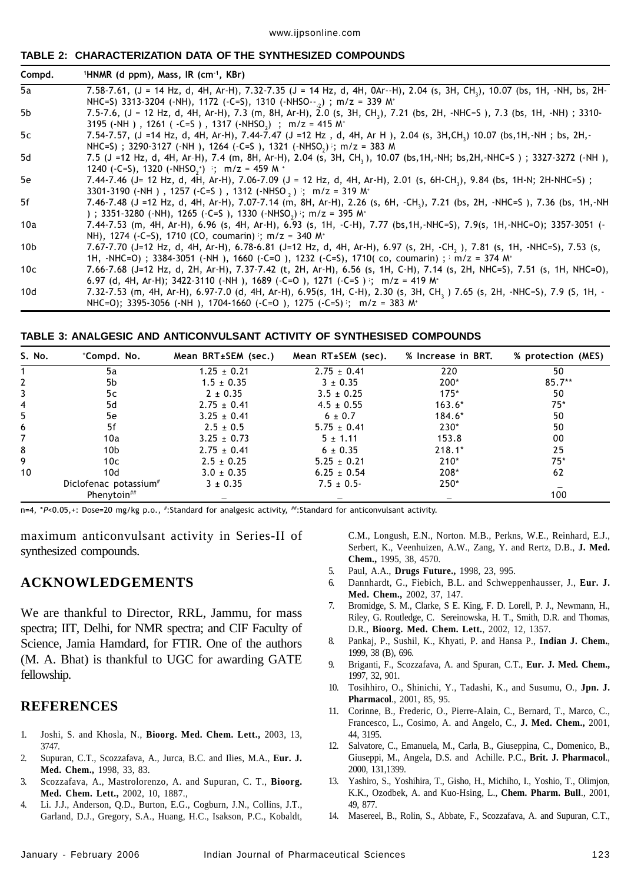#### www.ijpsonline.com

#### **TABLE 2: CHARACTERIZATION DATA OF THE SYNTHESIZED COMPOUNDS**

| Compd.          | <sup>1</sup> HNMR (d ppm), Mass, IR (cm <sup>-1</sup> , KBr)                                                                                                                                                                                  |
|-----------------|-----------------------------------------------------------------------------------------------------------------------------------------------------------------------------------------------------------------------------------------------|
| 5а              | 7.58-7.61, (J = 14 Hz, d, 4H, Ar-H), 7.32-7.35 (J = 14 Hz, d, 4H, 0Ar--H), 2.04 (s, 3H, CH <sub>3</sub> ), 10.07 (bs, 1H, -NH, bs, 2H-<br>NHC=S) 3313-3204 (-NH), 1172 (-C=S), 1310 (-NHSO-- <sub>-2</sub> ); m/z = 339 M <sup>+</sup>        |
| 5b              | 7.5-7.6, (J = 12 Hz, d, 4H, Ar-H), 7.3 (m, 8H, Ar-H), 2.0 (s, 3H, CH <sub>3</sub> ), 7.21 (bs, 2H, -NHC=S), 7.3 (bs, 1H, -NH); 3310-<br>3195 (-NH), 1261 (-C=S), 1317 (-NHSO <sub>2</sub> ); m/z = 415 M <sup>+</sup>                         |
| 5c              | 7.54-7.57, (J =14 Hz, d, 4H, Ar-H), 7.44-7.47 (J =12 Hz, d, 4H, Ar H), 2.04 (s, 3H,CH <sub>3</sub> ) 10.07 (bs,1H,-NH; bs, 2H,-<br>NHC=S) ; 3290-3127 (-NH), 1264 (-C=S), 1321 (-NHSO <sub>2</sub> ) ; m/z = 383 M                            |
| 5d              | 7.5 (J =12 Hz, d, 4H, Ar-H), 7.4 (m, 8H, Ar-H), 2.04 (s, 3H, CH <sub>3</sub> ), 10.07 (bs,1H,-NH; bs,2H,-NHC=S); 3327-3272 (-NH),<br>1240 (-C=S), 1320 (-NHSO <sub>2</sub> <sup>+</sup> ) <sup>3</sup> ; m/z = 459 M <sup>+</sup>             |
| 5e              | 7.44-7.46 (J= 12 Hz, d, 4H, Ar-H), 7.06-7.09 (J = 12 Hz, d, 4H, Ar-H), 2.01 (s, 6H-CH <sub>3</sub> ), 9.84 (bs, 1H-N; 2H-NHC=S);<br>3301-3190 (-NH), 1257 (-C=S), 1312 (-NHSO, ); m/z = 319 M <sup>+</sup>                                    |
| 5f              | 7.46-7.48 (J =12 Hz, d, 4H, Ar-H), 7.07-7.14 (m, 8H, Ar-H), 2.26 (s, 6H, -CH,), 7.21 (bs, 2H, -NHC=S), 7.36 (bs, 1H,-NH<br>) ; 3351-3280 (-NH), 1265 (-C=S), 1330 (-NHSO <sub>2</sub> ) ; m/z = 395 M <sup>+</sup>                            |
| 10a             | 7.44-7.53 (m, 4H, Ar-H), 6.96 (s, 4H, Ar-H), 6.93 (s, 1H, -C-H), 7.77 (bs, 1H, -NHC=S), 7.9(s, 1H, -NHC=O); 3357-3051 (-<br>NH), 1274 (-C=S), 1710 (CO, coumarin) ; m/z = 340 M <sup>+</sup>                                                  |
| 10 <sub>b</sub> | 7.67-7.70 (J=12 Hz, d, 4H, Ar-H), 6.78-6.81 (J=12 Hz, d, 4H, Ar-H), 6.97 (s, 2H, -CH <sub>2</sub> ), 7.81 (s, 1H, -NHC=S), 7.53 (s,<br>1H, -NHC=O); 3384-3051 (-NH), 1660 (-C=O), 1232 (-C=S), 1710(co, coumarin); $m/z = 374$ M <sup>+</sup> |
| 10 <sub>c</sub> | 7.66-7.68 (J=12 Hz, d, 2H, Ar-H), 7.37-7.42 (t, 2H, Ar-H), 6.56 (s, 1H, C-H), 7.14 (s, 2H, NHC=S), 7.51 (s, 1H, NHC=O),<br>6.97 (d, 4H, Ar-H); 3422-3110 (-NH), 1689 (-C=O), 1271 (-C=S) $\cdot$ ; m/z = 419 M <sup>+</sup>                   |
| 10 <sub>d</sub> | 7.32-7.53 (m, 4H, Ar-H), 6.97-7.0 (d, 4H, Ar-H), 6.95(s, 1H, C-H), 2.30 (s, 3H, CH, ) 7.65 (s, 2H, -NHC=S), 7.9 (S, 1H, -<br>NHC=0); 3395-3056 (-NH), 1704-1660 (-C=0), 1275 (-C=S); m/z = 383 M <sup>+</sup>                                 |

**TABLE 3: ANALGESIC AND ANTICONVULSANT ACTIVITY OF SYNTHESISED COMPOUNDS**

| S. No.         | *Compd. No.                       | Mean BRT±SEM (sec.) | Mean RT±SEM (sec). | % Increase in BRT. | % protection (MES) |
|----------------|-----------------------------------|---------------------|--------------------|--------------------|--------------------|
|                | 5a                                | $1.25 \pm 0.21$     | $2.75 \pm 0.41$    | 220                | 50                 |
| 2              | 5b                                | $1.5 \pm 0.35$      | $3 \pm 0.35$       | 200*               | $85.7**$           |
| 3              | 5c                                | $2 \pm 0.35$        | $3.5 \pm 0.25$     | $175*$             | 50                 |
| $\overline{4}$ | 5d                                | $2.75 \pm 0.41$     | $4.5 \pm 0.55$     | $163.6*$           | $75*$              |
| 5              | 5e                                | $3.25 \pm 0.41$     | $6 \pm 0.7$        | $184.6*$           | 50                 |
| 6              | 5f                                | $2.5 \pm 0.5$       | $5.75 \pm 0.41$    | 230*               | 50                 |
| 7              | 10a                               | $3.25 \pm 0.73$     | $5 \pm 1.11$       | 153.8              | 00                 |
| 8              | 10 <sub>b</sub>                   | $2.75 \pm 0.41$     | $6 \pm 0.35$       | $218.1*$           | 25                 |
| 9              | 10c                               | $2.5 \pm 0.25$      | $5.25 \pm 0.21$    | $210*$             | $75*$              |
| 10             | 10d                               | $3.0 \pm 0.35$      | $6.25 \pm 0.54$    | 208*               | 62                 |
|                | Diclofenac potassium <sup>#</sup> | $3 \pm 0.35$        | $7.5 \pm 0.5$      | $250*$             |                    |
|                | Phenytoin##                       |                     |                    |                    | 100                |

n=4, \*P<0.05,+: Dose=20 mg/kg p.o., #:Standard for analgesic activity, ##:Standard for anticonvulsant activity.

maximum anticonvulsant activity in Series-II of synthesized compounds.

## **ACKNOWLEDGEMENTS**

We are thankful to Director, RRL, Jammu, for mass spectra; IIT, Delhi, for NMR spectra; and CIF Faculty of Science, Jamia Hamdard, for FTIR. One of the authors (M. A. Bhat) is thankful to UGC for awarding GATE fellowship.

# **REFERENCES**

- 1. Joshi, S. and Khosla, N., **Bioorg. Med. Chem. Lett.,** 2003, 13, 3747.
- 2. Supuran, C.T., Scozzafava, A., Jurca, B.C. and Ilies, M.A., **Eur. J. Med. Chem.,** 1998, 33, 83.
- 3. Scozzafava, A., Mastrolorenzo, A. and Supuran, C. T., **Bioorg. Med. Chem. Lett.,** 2002, 10, 1887.,
- 4. Li. J.J., Anderson, Q.D., Burton, E.G., Cogburn, J.N., Collins, J.T., Garland, D.J., Gregory, S.A., Huang, H.C., Isakson, P.C., Kobaldt,

C.M., Longush, E.N., Norton. M.B., Perkns, W.E., Reinhard, E.J., Serbert, K., Veenhuizen, A.W., Zang, Y. and Rertz, D.B., **J. Med. Chem.,** 1995, 38, 4570.

- 5. Paul, A.A., **Drugs Future.,** 1998, 23, 995.
- 6. Dannhardt, G., Fiebich, B.L. and Schweppenhausser, J., **Eur. J. Med. Chem.,** 2002, 37, 147.
- 7. Bromidge, S. M., Clarke, S E. King, F. D. Lorell, P. J., Newmann, H., Riley, G. Routledge, C. Sereinowska, H. T., Smith, D.R. and Thomas, D.R., **Bioorg. Med. Chem. Lett.**, 2002, 12, 1357.
- 8. Pankaj, P., Sushil, K., Khyati, P. and Hansa P., **Indian J. Chem.**, 1999, 38 (B), 696.
- 9. Briganti, F., Scozzafava, A. and Spuran, C.T., **Eur. J. Med. Chem.,** 1997, 32, 901.
- 10. Tosihhiro, O., Shinichi, Y., Tadashi, K., and Susumu, O., **Jpn. J. Pharmacol**., 2001, 85, 95.
- 11. Corinne, B., Frederic, O., Pierre-Alain, C., Bernard, T., Marco, C., Francesco, L., Cosimo, A. and Angelo, C., **J. Med. Chem.,** 2001, 44, 3195.
- 12. Salvatore, C., Emanuela, M., Carla, B., Giuseppina, C., Domenico, B., Giuseppi, M., Angela, D.S. and Achille. P.C., **Brit. J. Pharmacol**., 2000, 131,1399.
- 13. Yashiro, S., Yoshihira, T., Gisho, H., Michiho, I., Yoshio, T., Olimjon, K.K., Ozodbek, A. and Kuo-Hsing, L., **Chem. Pharm. Bull**., 2001, 49, 877.
- 14. Masereel, B., Rolin, S., Abbate, F., Scozzafava, A. and Supuran, C.T.,